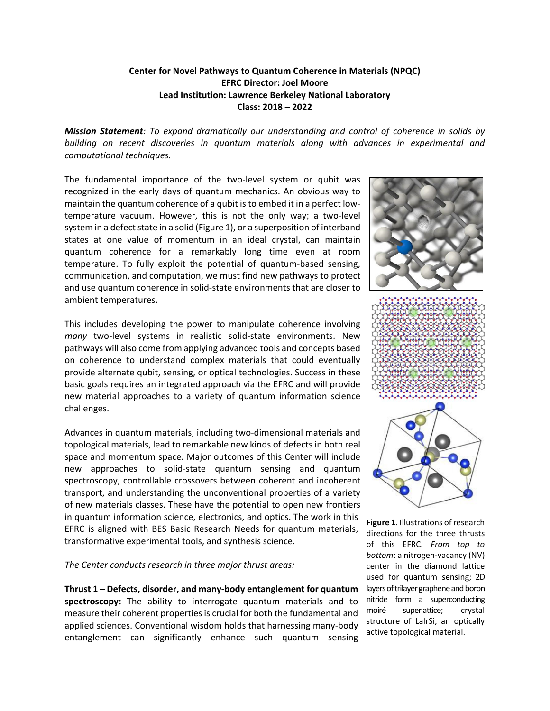## **Center for Novel Pathways to Quantum Coherence in Materials (NPQC) EFRC Director: Joel Moore Lead Institution: Lawrence Berkeley National Laboratory Class: 2018 – 2022**

*Mission Statement: To expand dramatically our understanding and control of coherence in solids by building on recent discoveries in quantum materials along with advances in experimental and computational techniques.*

The fundamental importance of the two-level system or qubit was recognized in the early days of quantum mechanics. An obvious way to maintain the quantum coherence of a qubit is to embed it in a perfect lowtemperature vacuum. However, this is not the only way; a two-level system in a defect state in a solid (Figure 1), or a superposition of interband states at one value of momentum in an ideal crystal, can maintain quantum coherence for a remarkably long time even at room temperature. To fully exploit the potential of quantum-based sensing, communication, and computation, we must find new pathways to protect and use quantum coherence in solid-state environments that are closer to ambient temperatures.

This includes developing the power to manipulate coherence involving *many* two-level systems in realistic solid-state environments. New pathways will also come from applying advanced tools and concepts based on coherence to understand complex materials that could eventually provide alternate qubit, sensing, or optical technologies. Success in these basic goals requires an integrated approach via the EFRC and will provide new material approaches to a variety of quantum information science challenges.

Advances in quantum materials, including two-dimensional materials and topological materials, lead to remarkable new kinds of defects in both real space and momentum space. Major outcomes of this Center will include new approaches to solid-state quantum sensing and quantum spectroscopy, controllable crossovers between coherent and incoherent transport, and understanding the unconventional properties of a variety of new materials classes. These have the potential to open new frontiers in quantum information science, electronics, and optics. The work in this EFRC is aligned with BES Basic Research Needs for quantum materials, transformative experimental tools, and synthesis science.

*The Center conducts research in three major thrust areas:*

**Thrust 1 – Defects, disorder, and many-body entanglement for quantum spectroscopy:** The ability to interrogate quantum materials and to measure their coherent properties is crucial for both the fundamental and applied sciences. Conventional wisdom holds that harnessing many-body entanglement can significantly enhance such quantum sensing







**Figure 1**. Illustrations of research directions for the three thrusts of this EFRC. *From top to bottom*: a nitrogen-vacancy (NV) center in the diamond lattice used for quantum sensing; 2D layers of trilayer graphene and boron nitride form a superconducting moiré superlattice; crystal structure of LaIrSi, an optically active topological material.